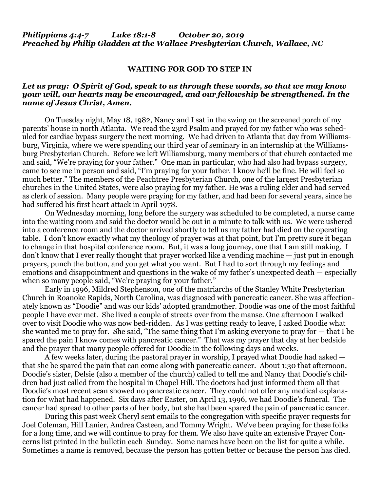## *Philippians 4:4-7 Luke 18:1-8 October 20, 2019 Preached by Philip Gladden at the Wallace Presbyterian Church, Wallace, NC*

#### **WAITING FOR GOD TO STEP IN**

### *Let us pray: O Spirit of God, speak to us through these words, so that we may know your will, our hearts may be encouraged, and our fellowship be strengthened. In the name of Jesus Christ, Amen.*

On Tuesday night, May 18, 1982, Nancy and I sat in the swing on the screened porch of my parents' house in north Atlanta. We read the 23rd Psalm and prayed for my father who was scheduled for cardiac bypass surgery the next morning. We had driven to Atlanta that day from Williamsburg, Virginia, where we were spending our third year of seminary in an internship at the Williamsburg Presbyterian Church. Before we left Williamsburg, many members of that church contacted me and said, "We're praying for your father." One man in particular, who had also had bypass surgery, came to see me in person and said, "I'm praying for your father. I know he'll be fine. He will feel so much better." The members of the Peachtree Presbyterian Church, one of the largest Presbyterian churches in the United States, were also praying for my father. He was a ruling elder and had served as clerk of session. Many people were praying for my father, and had been for several years, since he had suffered his first heart attack in April 1978.

On Wednesday morning, long before the surgery was scheduled to be completed, a nurse came into the waiting room and said the doctor would be out in a minute to talk with us. We were ushered into a conference room and the doctor arrived shortly to tell us my father had died on the operating table. I don't know exactly what my theology of prayer was at that point, but I'm pretty sure it began to change in that hospital conference room. But, it was a long journey, one that I am still making. I don't know that I ever really thought that prayer worked like a vending machine — just put in enough prayers, punch the button, and you get what you want. But I had to sort through my feelings and emotions and disappointment and questions in the wake of my father's unexpected death — especially when so many people said, "We're praying for your father."

Early in 1996, Mildred Stephenson, one of the matriarchs of the Stanley White Presbyterian Church in Roanoke Rapids, North Carolina, was diagnosed with pancreatic cancer. She was affectionately known as "Doodie" and was our kids' adopted grandmother. Doodie was one of the most faithful people I have ever met. She lived a couple of streets over from the manse. One afternoon I walked over to visit Doodie who was now bed-ridden. As I was getting ready to leave, I asked Doodie what she wanted me to pray for. She said, "The same thing that I'm asking everyone to pray for  $-$  that I be spared the pain I know comes with pancreatic cancer." That was my prayer that day at her bedside and the prayer that many people offered for Doodie in the following days and weeks.

A few weeks later, during the pastoral prayer in worship, I prayed what Doodie had asked that she be spared the pain that can come along with pancreatic cancer. About 1:30 that afternoon, Doodie's sister, Delsie (also a member of the church) called to tell me and Nancy that Doodie's children had just called from the hospital in Chapel Hill. The doctors had just informed them all that Doodie's most recent scan showed no pancreatic cancer. They could not offer any medical explanation for what had happened. Six days after Easter, on April 13, 1996, we had Doodie's funeral. The cancer had spread to other parts of her body, but she had been spared the pain of pancreatic cancer.

During this past week Cheryl sent emails to the congregation with specific prayer requests for Joel Coleman, Hill Lanier, Andrea Casteen, and Tommy Wright. We've been praying for these folks for a long time, and we will continue to pray for them. We also have quite an extensive Prayer Concerns list printed in the bulletin each Sunday. Some names have been on the list for quite a while. Sometimes a name is removed, because the person has gotten better or because the person has died.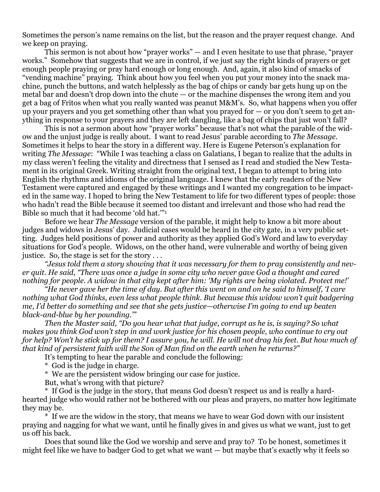Sometimes the person's name remains on the list, but the reason and the prayer request change. And we keep on praying.

This sermon is not about how "prayer works" — and I even hesitate to use that phrase, "prayer works." Somehow that suggests that we are in control, if we just say the right kinds of prayers or get enough people praying or pray hard enough or long enough. And, again, it also kind of smacks of "vending machine" praying. Think about how you feel when you put your money into the snack machine, punch the buttons, and watch helplessly as the bag of chips or candy bar gets hung up on the metal bar and doesn't drop down into the chute — or the machine dispenses the wrong item and you get a bag of Fritos when what you really wanted was peanut M&M's. So, what happens when you offer up your prayers and you get something other than what you prayed for — or you don't seem to get anything in response to your prayers and they are left dangling, like a bag of chips that just won't fall?

This is not a sermon about how "prayer works" because that's not what the parable of the widow and the unjust judge is really about. I want to read Jesus' parable according to *The Message*. Sometimes it helps to hear the story in a different way. Here is Eugene Peterson's explanation for writing *The Message*: "While I was teaching a class on Galatians, I began to realize that the adults in my class weren't feeling the vitality and directness that I sensed as I read and studied the New Testament in its original Greek. Writing straight from the original text, I began to attempt to bring into English the rhythms and idioms of the original language. I knew that the early readers of the New Testament were captured and engaged by these writings and I wanted my congregation to be impacted in the same way. I hoped to bring the New Testament to life for two different types of people: those who hadn't read the Bible because it seemed too distant and irrelevant and those who had read the Bible so much that it had become 'old hat.'"<sup>1</sup>

Before we hear *The Message* version of the parable, it might help to know a bit more about judges and widows in Jesus' day. Judicial cases would be heard in the city gate, in a very public setting. Judges held positions of power and authority as they applied God's Word and law to everyday situations for God's people. Widows, on the other hand, were vulnerable and worthy of being given justice. So, the stage is set for the story  $\dots$ 

*"Jesus told them a story showing that it was necessary for them to pray consistently and nev*er quit. He said, "There was once a judge in some city who never gave God a thought and cared nothing for people. A widow in that city kept after him: 'My rights are being violated. Protect me!'

"He never gave her the time of day. But after this went on and on he said to himself, 'I care *nothing what God thinks, even less what people think. But because this widow won't quit badgering* me, I'd better do something and see that she gets justice—otherwise I'm going to end up beaten *black-and-blue by her pounding.'"*

*Then the Master said, "Do you hear what that judge, corrupt as he is, is saying? So what* makes you think God won't step in and work justice for his chosen people, who continue to cry out for help? Won't he stick up for them? I assure you, he will. He will not drag his feet. But how much of *that kind of persistent faith will the Son of Man find on the earth when he returns?"*

It's tempting to hear the parable and conclude the following:

\* God is the judge in charge.

\* We are the persistent widow bringing our case for justice.

But, what's wrong with that picture?

\* If God is the judge in the story, that means God doesn't respect us and is really a hardhearted judge who would rather not be bothered with our pleas and prayers, no matter how legitimate they may be.

\* If we are the widow in the story, that means we have to wear God down with our insistent praying and nagging for what we want, until he finally gives in and gives us what we want, just to get us off his back.

Does that sound like the God we worship and serve and pray to? To be honest, sometimes it might feel like we have to badger God to get what we want — but maybe that's exactly why it feels so